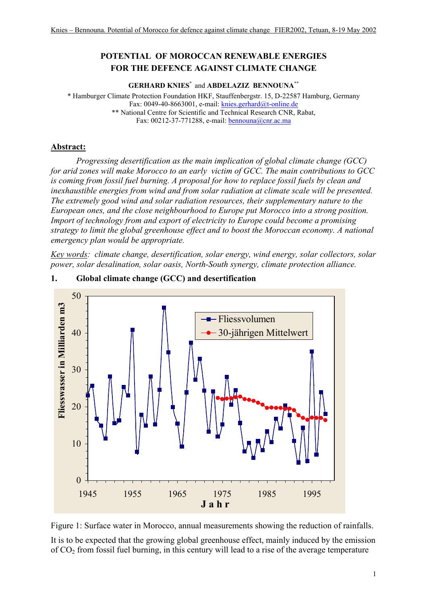# **POTENTIAL OF MOROCCAN RENEWABLE ENERGIES FOR THE DEFENCE AGAINST CLIMATE CHANGE**

**GERHARD KNIES\*** and **ABDELAZIZ BENNOUNA\*\***

\* Hamburger Climate Protection Foundation HKF, Stauffenbergstr. 15, D-22587 Hamburg, Germany Fax: 0049-40-8663001, e-mail: [knies.gerhard@t-online.de](mailto:knies.gerhard@t-online.de) \*\* National Centre for Scientific and Technical Research CNR, Rabat, Fax: 00212-37-771288, e-mail: **bennouna@cnr.ac.ma** 

#### **Abstract:**

*Progressing desertification as the main implication of global climate change (GCC) for arid zones will make Morocco to an early victim of GCC. The main contributions to GCC is coming from fossil fuel burning. A proposal for how to replace fossil fuels by clean and inexhaustible energies from wind and from solar radiation at climate scale will be presented. The extremely good wind and solar radiation resources, their supplementary nature to the European ones, and the close neighbourhood to Europe put Morocco into a strong position. Import of technology from and export of electricity to Europe could become a promising strategy to limit the global greenhouse effect and to boost the Moroccan economy. A national emergency plan would be appropriate.* 

*Key words: climate change, desertification, solar energy, wind energy, solar collectors, solar power, solar desalination, solar oasis, North-South synergy, climate protection alliance.* 



#### **1. Global climate change (GCC) and desertification**

Figure 1: Surface water in Morocco, annual measurements showing the reduction of rainfalls. It is to be expected that the growing global greenhouse effect, mainly induced by the emission of CO2 from fossil fuel burning, in this century will lead to a rise of the average temperature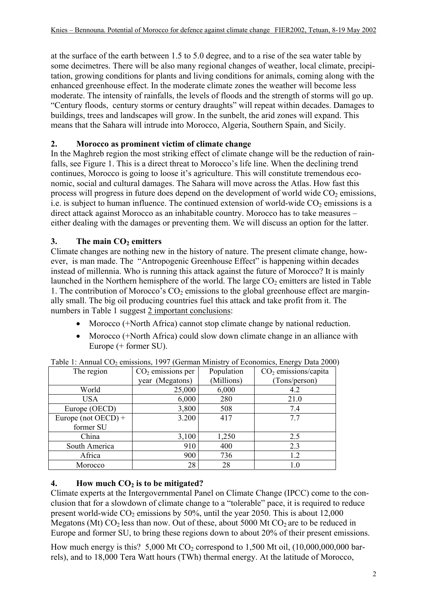at the surface of the earth between 1.5 to 5.0 degree, and to a rise of the sea water table by some decimetres. There will be also many regional changes of weather, local climate, precipitation, growing conditions for plants and living conditions for animals, coming along with the enhanced greenhouse effect. In the moderate climate zones the weather will become less moderate. The intensity of rainfalls, the levels of floods and the strength of storms will go up. "Century floods, century storms or century draughts" will repeat within decades. Damages to buildings, trees and landscapes will grow. In the sunbelt, the arid zones will expand. This means that the Sahara will intrude into Morocco, Algeria, Southern Spain, and Sicily.

### **2. Morocco as prominent victim of climate change**

In the Maghreb region the most striking effect of climate change will be the reduction of rainfalls, see Figure 1. This is a direct threat to Morocco's life line. When the declining trend continues, Morocco is going to loose it's agriculture. This will constitute tremendous economic, social and cultural damages. The Sahara will move across the Atlas. How fast this process will progress in future does depend on the development of world wide  $CO<sub>2</sub>$  emissions, i.e. is subject to human influence. The continued extension of world-wide  $CO<sub>2</sub>$  emissions is a direct attack against Morocco as an inhabitable country. Morocco has to take measures – either dealing with the damages or preventing them. We will discuss an option for the latter.

# **3.** The main CO<sub>2</sub> emitters

Climate changes are nothing new in the history of nature. The present climate change, however, is man made. The "Antropogenic Greenhouse Effect" is happening within decades instead of millennia. Who is running this attack against the future of Morocco? It is mainly launched in the Northern hemisphere of the world. The large  $CO<sub>2</sub>$  emitters are listed in Table 1. The contribution of Morocco's  $CO<sub>2</sub>$  emissions to the global greenhouse effect are marginally small. The big oil producing countries fuel this attack and take profit from it. The numbers in Table 1 suggest 2 important conclusions:

- Morocco (+North Africa) cannot stop climate change by national reduction.
- Morocco (+North Africa) could slow down climate change in an alliance with Europe (+ former SU).

|                        |                     |            | رن                     |
|------------------------|---------------------|------------|------------------------|
| The region             | $CO2$ emissions per | Population | $CO2$ emissions/capita |
|                        | year (Megatons)     | (Millions) | (Tons/person)          |
| World                  | 25,000              | 6,000      | 4.2                    |
| <b>USA</b>             | 6,000               | 280        | 21.0                   |
| Europe (OECD)          | 3,800               | 508        | 7.4                    |
| Europe (not $OECD$ ) + | 3.200               | 417        | 77                     |
| former SU              |                     |            |                        |
| China                  | 3,100               | 1,250      | 2.5                    |
| South America          | 910                 | 400        | 2.3                    |
| Africa                 | 900                 | 736        | 1.2                    |
| Morocco                | 28                  | 28         | 1.0                    |

Table 1: Annual CO<sub>2</sub> emissions, 1997 (German Ministry of Economics, Energy Data 2000)

# **4.** How much  $CO<sub>2</sub>$  is to be mitigated?

Climate experts at the Intergovernmental Panel on Climate Change (IPCC) come to the conclusion that for a slowdown of climate change to a "tolerable" pace, it is required to reduce present world-wide  $CO_2$  emissions by 50%, until the year 2050. This is about 12,000 Megatons (Mt)  $CO<sub>2</sub>$  less than now. Out of these, about 5000 Mt  $CO<sub>2</sub>$  are to be reduced in Europe and former SU, to bring these regions down to about 20% of their present emissions.

How much energy is this?  $5,000$  Mt CO<sub>2</sub> correspond to 1,500 Mt oil,  $(10,000,000,000)$  barrels), and to 18,000 Tera Watt hours (TWh) thermal energy. At the latitude of Morocco,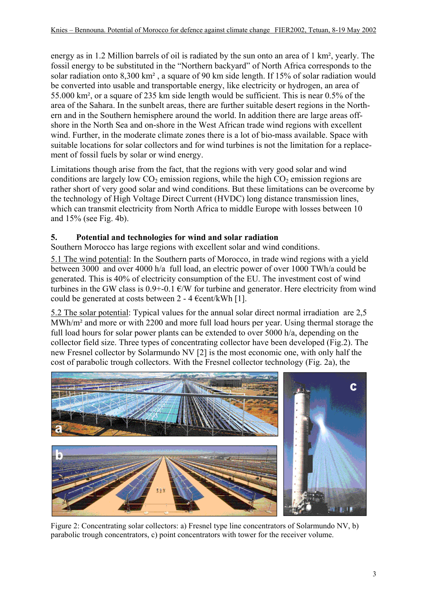energy as in 1.2 Million barrels of oil is radiated by the sun onto an area of 1 km², yearly. The fossil energy to be substituted in the "Northern backyard" of North Africa corresponds to the solar radiation onto 8,300 km² , a square of 90 km side length. If 15% of solar radiation would be converted into usable and transportable energy, like electricity or hydrogen, an area of 55.000 km², or a square of 235 km side length would be sufficient. This is near 0.5% of the area of the Sahara. In the sunbelt areas, there are further suitable desert regions in the Northern and in the Southern hemisphere around the world. In addition there are large areas offshore in the North Sea and on-shore in the West African trade wind regions with excellent wind. Further, in the moderate climate zones there is a lot of bio-mass available. Space with suitable locations for solar collectors and for wind turbines is not the limitation for a replacement of fossil fuels by solar or wind energy.

Limitations though arise from the fact, that the regions with very good solar and wind conditions are largely low  $CO<sub>2</sub>$  emission regions, while the high  $CO<sub>2</sub>$  emission regions are rather short of very good solar and wind conditions. But these limitations can be overcome by the technology of High Voltage Direct Current (HVDC) long distance transmission lines, which can transmit electricity from North Africa to middle Europe with losses between 10 and 15% (see Fig. 4b).

### **5. Potential and technologies for wind and solar radiation**

Southern Morocco has large regions with excellent solar and wind conditions.

5.1 The wind potential: In the Southern parts of Morocco, in trade wind regions with a yield between 3000 and over 4000 h/a full load, an electric power of over 1000 TWh/a could be generated. This is 40% of electricity consumption of the EU. The investment cost of wind turbines in the GW class is  $0.9 + -0.1$   $\varepsilon$ /W for turbine and generator. Here electricity from wind could be generated at costs between 2 - 4  $\epsilon$ cent/kWh [1].

5.2 The solar potential: Typical values for the annual solar direct normal irradiation are 2,5 MWh/m² and more or with 2200 and more full load hours per year. Using thermal storage the full load hours for solar power plants can be extended to over 5000 h/a, depending on the collector field size. Three types of concentrating collector have been developed (Fig.2). The new Fresnel collector by Solarmundo NV [2] is the most economic one, with only half the cost of parabolic trough collectors. With the Fresnel collector technology (Fig. 2a), the



Figure 2: Concentrating solar collectors: a) Fresnel type line concentrators of Solarmundo NV, b) parabolic trough concentrators, c) point concentrators with tower for the receiver volume.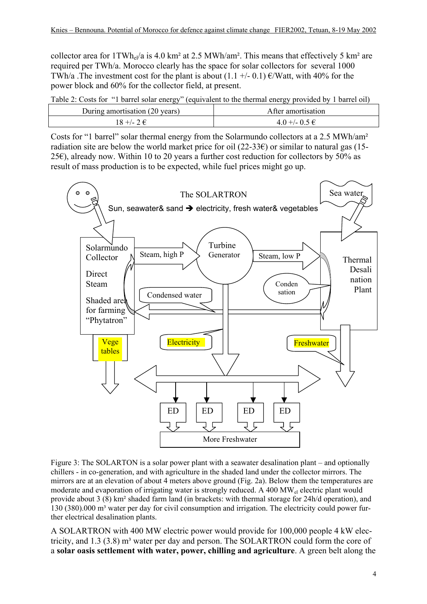collector area for  $1TWh_{el}/a$  is 4.0 km<sup>2</sup> at 2.5 MWh/am<sup>2</sup>. This means that effectively 5 km<sup>2</sup> are required per TWh/a. Morocco clearly has the space for solar collectors for several 1000 TWh/a . The investment cost for the plant is about  $(1.1 +/- 0.1) \in$ /Watt, with 40% for the power block and 60% for the collector field, at present.

Table 2: Costs for "1 barrel solar energy" (equivalent to the thermal energy provided by 1 barrel oil)

| During amortisation (20 years) | After amortisation |  |
|--------------------------------|--------------------|--|
| $18 + - 2 \epsilon$            | $4.0 + -0.5 \in$   |  |

Costs for "1 barrel" solar thermal energy from the Solarmundo collectors at a 2.5 MWh/am² radiation site are below the world market price for oil (22-33€) or similar to natural gas (15-25€), already now. Within 10 to 20 years a further cost reduction for collectors by 50% as result of mass production is to be expected, while fuel prices might go up.



Figure 3: The SOLARTON is a solar power plant with a seawater desalination plant – and optionally chillers - in co-generation, and with agriculture in the shaded land under the collector mirrors. The mirrors are at an elevation of about 4 meters above ground (Fig. 2a). Below them the temperatures are moderate and evaporation of irrigating water is strongly reduced. A 400 MW<sub>el</sub> electric plant would provide about 3 (8) km² shaded farm land (in brackets: with thermal storage for 24h/d operation), and 130 (380).000 m<sup>3</sup> water per day for civil consumption and irrigation. The electricity could power further electrical desalination plants.

A SOLARTRON with 400 MW electric power would provide for 100,000 people 4 kW electricity, and  $1.3$  (3.8) m<sup>3</sup> water per day and person. The SOLARTRON could form the core of a **solar oasis settlement with water, power, chilling and agriculture**. A green belt along the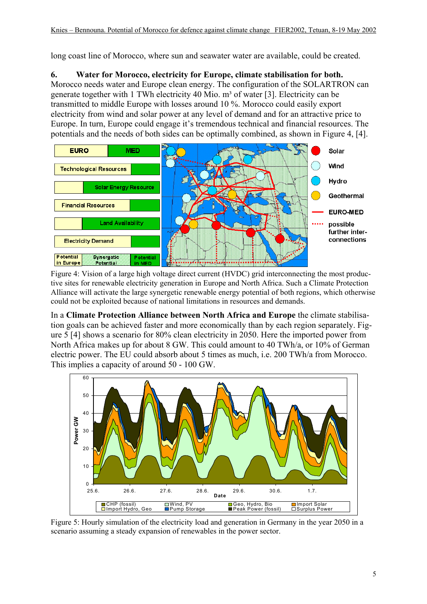long coast line of Morocco, where sun and seawater water are available, could be created.

**6. Water for Morocco, electricity for Europe, climate stabilisation for both.**  Morocco needs water and Europe clean energy. The configuration of the SOLARTRON can generate together with 1 TWh electricity 40 Mio.  $m<sup>3</sup>$  of water [3]. Electricity can be transmitted to middle Europe with losses around 10 %. Morocco could easily export electricity from wind and solar power at any level of demand and for an attractive price to Europe. In turn, Europe could engage it's tremendous technical and financial resources. The potentials and the needs of both sides can be optimally combined, as shown in Figure 4, [4].



Figure 4: Vision of a large high voltage direct current (HVDC) grid interconnecting the most productive sites for renewable electricity generation in Europe and North Africa. Such a Climate Protection Alliance will activate the large synergetic renewable energy potential of both regions, which otherwise could not be exploited because of national limitations in resources and demands.

In a **Climate Protection Alliance between North Africa and Europe** the climate stabilisation goals can be achieved faster and more economically than by each region separately. Figure 5 [4] shows a scenario for 80% clean electricity in 2050. Here the imported power from North Africa makes up for about 8 GW. This could amount to 40 TWh/a, or 10% of German electric power. The EU could absorb about 5 times as much, i.e. 200 TWh/a from Morocco. This implies a capacity of around 50 - 100 GW.



Figure 5: Hourly simulation of the electricity load and generation in Germany in the year 2050 in a scenario assuming a steady expansion of renewables in the power sector.